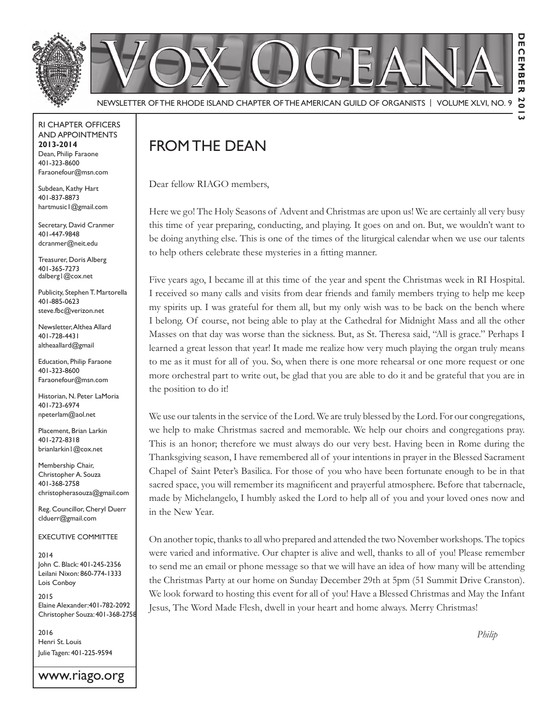

RI Chapter Officers and Appointments **2013-2014** Dean, Philip Faraone 401-323-8600 Faraonefour@msn.com

Subdean, Kathy Hart 401-837-8873 hartmusic1@gmail.com

Secretary, David Cranmer 401-447-9848 dcranmer@neit.edu

Treasurer, Doris Alberg 401-365-7273 dalberg1@cox.net

Publicity, Stephen T. Martorella 401-885-0623 steve.fbc@verizon.net

Newsletter, Althea Allard 401-728-4431 altheaallard@gmail

Education, Philip Faraone 401-323-8600 Faraonefour@msn.com

Historian, N. Peter LaMoria 401-723-6974 npeterlam@aol.net

Placement, Brian Larkin 401-272-8318 brianlarkin1@cox.net

Membership Chair, Christopher A. Souza 401-368-2758 christopherasouza@gmail.com

Reg. Councillor, Cheryl Duerr clduerr@gmail.com

Executive Committee

2014 John C. Black: 401-245-2356 Leilani Nixon: 860-774-1333 Lois Conboy

2015 Elaine Alexander:401-782-2092 Christopher Souza: 401-368-2758

2016 Henri St. Louis Julie Tagen: 401-225-9594

www.riago.org

# FROM THE DEAN

Dear fellow RIAGO members,

Here we go! The Holy Seasons of Advent and Christmas are upon us! We are certainly all very busy this time of year preparing, conducting, and playing. It goes on and on. But, we wouldn't want to be doing anything else. This is one of the times of the liturgical calendar when we use our talents to help others celebrate these mysteries in a fitting manner.

Five years ago, I became ill at this time of the year and spent the Christmas week in RI Hospital. I received so many calls and visits from dear friends and family members trying to help me keep my spirits up. I was grateful for them all, but my only wish was to be back on the bench where I belong. Of course, not being able to play at the Cathedral for Midnight Mass and all the other Masses on that day was worse than the sickness. But, as St. Theresa said, "All is grace." Perhaps I learned a great lesson that year! It made me realize how very much playing the organ truly means to me as it must for all of you. So, when there is one more rehearsal or one more request or one more orchestral part to write out, be glad that you are able to do it and be grateful that you are in the position to do it!

We use our talents in the service of the Lord. We are truly blessed by the Lord. For our congregations, we help to make Christmas sacred and memorable. We help our choirs and congregations pray. This is an honor; therefore we must always do our very best. Having been in Rome during the Thanksgiving season, I have remembered all of your intentions in prayer in the Blessed Sacrament Chapel of Saint Peter's Basilica. For those of you who have been fortunate enough to be in that sacred space, you will remember its magnificent and prayerful atmosphere. Before that tabernacle, made by Michelangelo, I humbly asked the Lord to help all of you and your loved ones now and in the New Year.

On another topic, thanks to all who prepared and attended the two November workshops. The topics were varied and informative. Our chapter is alive and well, thanks to all of you! Please remember to send me an email or phone message so that we will have an idea of how many will be attending the Christmas Party at our home on Sunday December 29th at 5pm (51 Summit Drive Cranston). We look forward to hosting this event for all of you! Have a Blessed Christmas and May the Infant Jesus, The Word Made Flesh, dwell in your heart and home always. Merry Christmas!

*Philip*